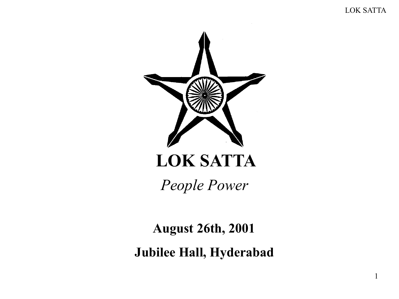1



# LOK SATTA

*People Power*

August 26th, 2001

Jubilee Hall, Hyderabad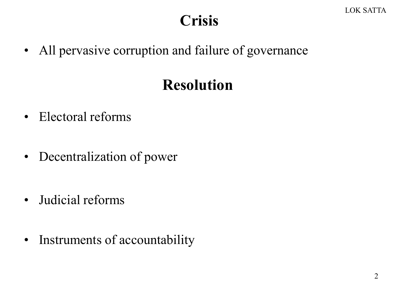### **Crisis**

• All pervasive corruption and failure of governance

## Resolution

- Electoral reforms
- Decentralization of power
- Judicial reforms
- Instruments of accountability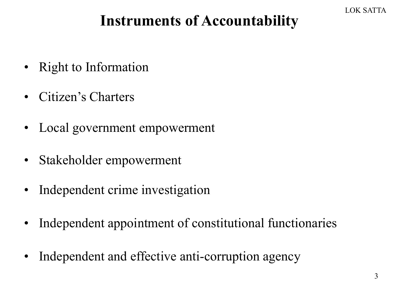# Instruments of Accountability

- Right to Information
- Citizen's Charters
- Local government empowerment
- Stakeholder empowerment
- Independent crime investigation
- Independent appointment of constitutional functionaries
- Independent and effective anti-corruption agency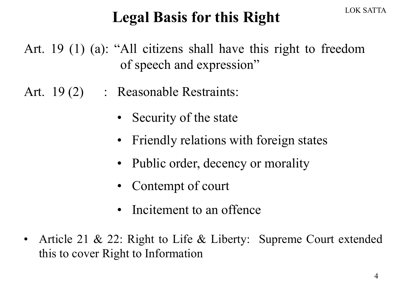## Legal Basis for this Right

Art. 19 (1) (a): "All citizens shall have this right to freedom of speech and expression"

- Art. 19(2) : Reasonable Restraints:
	- Security of the state
	- Friendly relations with foreign states
	- Public order, decency or morality
	- Contempt of court
	- Incitement to an offence
- Article 21 & 22: Right to Life & Liberty: Supreme Court extended this to cover Right to Information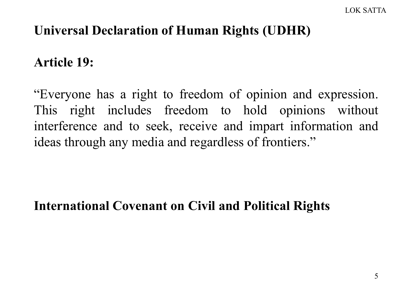#### Universal Declaration of Human Rights (UDHR)

#### Article 19:

"Everyone has a right to freedom of opinion and expression. This right includes freedom to hold opinions without interference and to seek, receive and impart information and ideas through any media and regardless of frontiers."

#### International Covenant on Civil and Political Rights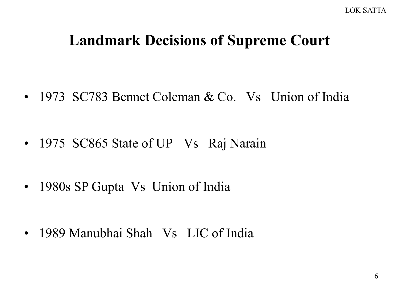#### Landmark Decisions of Supreme Court

• 1973 SC783 Bennet Coleman & Co. Vs Union of India

- 1975 SC865 State of UP Vs Raj Narain
- 1980s SP Gupta Vs Union of India

• 1989 Manubhai Shah Vs LIC of India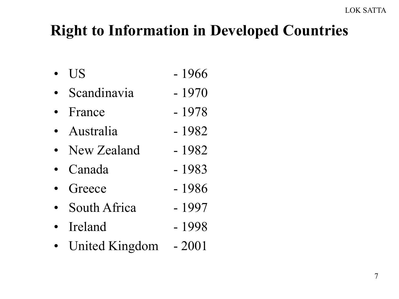# Right to Information in Developed Countries

- US  $-1966$
- Scandinavia 1970
- France  $-1978$
- Australia 1982
- New Zealand 1982
- Canada 1983
- Greece  $-1986$
- South Africa 1997
- Ireland  $-1998$
- United Kingdom 2001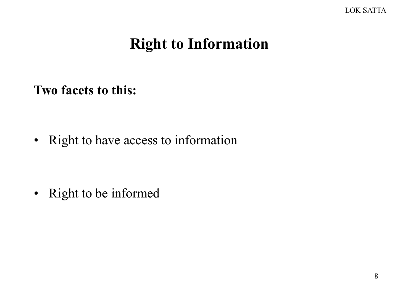#### Right to Information

Two facets to this:

• Right to have access to information

• Right to be informed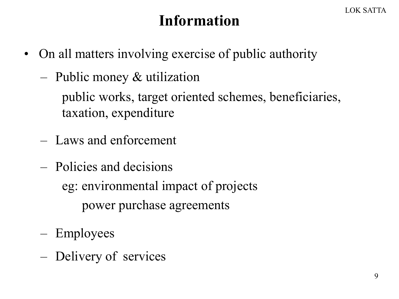### Information

- On all matters involving exercise of public authority
	- Public money & utilization

public works, target oriented schemes, beneficiaries, taxation, expenditure

- Laws and enforcement
- Policies and decisions eg: environmental impact of projects power purchase agreements
- Employees
- Delivery of services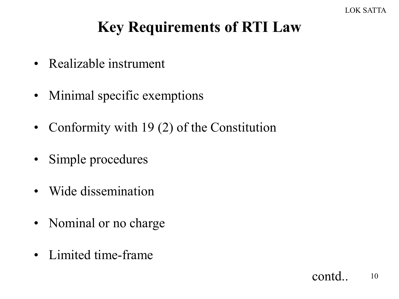# Key Requirements of RTI Law

- Realizable instrument
- Minimal specific exemptions
- Conformity with 19 (2) of the Constitution
- Simple procedures
- Wide dissemination
- Nominal or no charge
- Limited time-frame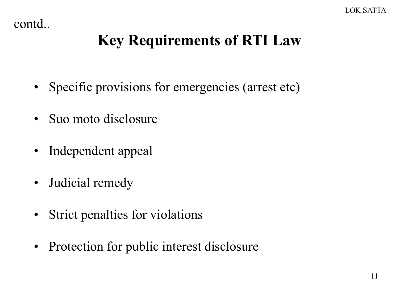contd..

# Key Requirements of RTI Law

- Specific provisions for emergencies (arrest etc)
- Suo moto disclosure
- Independent appeal
- Judicial remedy
- Strict penalties for violations
- Protection for public interest disclosure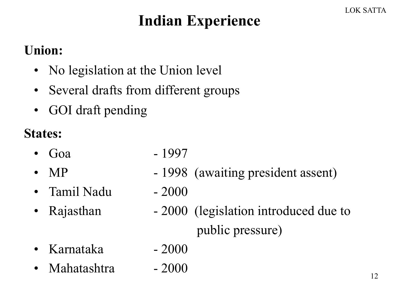# Indian Experience

#### Union:

- No legislation at the Union level
- Several drafts from different groups
- GOI draft pending

#### States:

- Goa 1997
- MP 1998 (awaiting president assent)
- Tamil Nadu 2000
- 
- 
- 
- Rajasthan 2000 (legislation introduced due to public pressure)
- Karnataka 2000
- Mahatashtra 2000
- -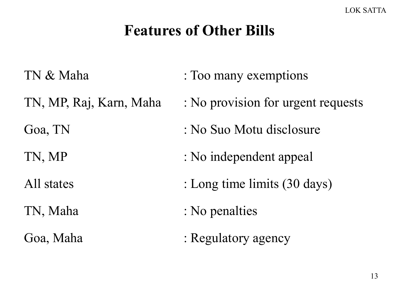### Features of Other Bills

TN & Maha : Too many exemptions TN, MP, Raj, Karn, Maha : No provision for urgent requests Goa, TN : No Suo Motu disclosure TN, MP : No independent appeal All states : Long time limits (30 days) TN, Maha : No penalties Goa, Maha : Regulatory agency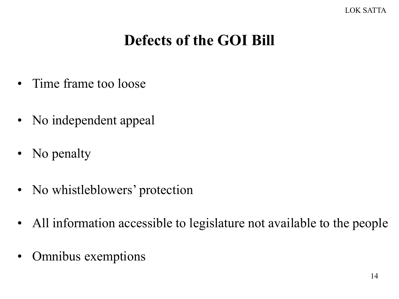# Defects of the GOI Bill

- Time frame too loose
- No independent appeal
- No penalty
- No whistleblowers' protection
- All information accessible to legislature not available to the people
- Omnibus exemptions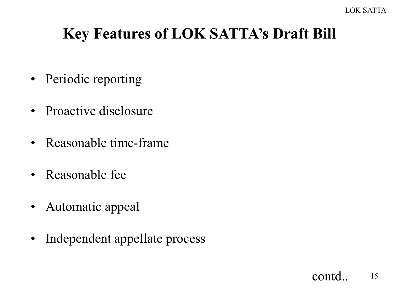# Key Features of LOK SATTA's Draft Bill

- Periodic reporting
- Proactive disclosure
- Reasonable time-frame
- Reasonable fee
- Automatic appeal
- Independent appellate process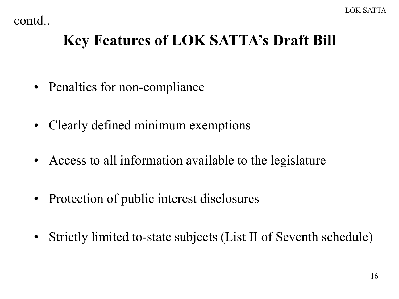contd..

# Key Features of LOK SATTA's Draft Bill

- Penalties for non-compliance
- Clearly defined minimum exemptions
- Access to all information available to the legislature
- Protection of public interest disclosures
- Strictly limited to-state subjects (List II of Seventh schedule)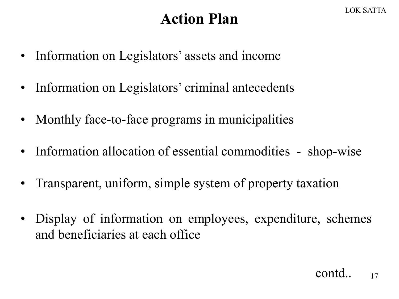### Action Plan

- Information on Legislators' assets and income
- Information on Legislators' criminal antecedents
- Monthly face-to-face programs in municipalities
- Information allocation of essential commodities shop-wise
- Transparent, uniform, simple system of property taxation
- Display of information on employees, expenditure, schemes and beneficiaries at each office